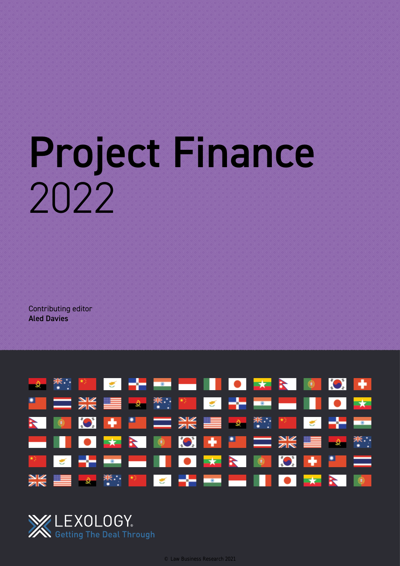# Project Finance 2022

Contributing editor Aled Davies



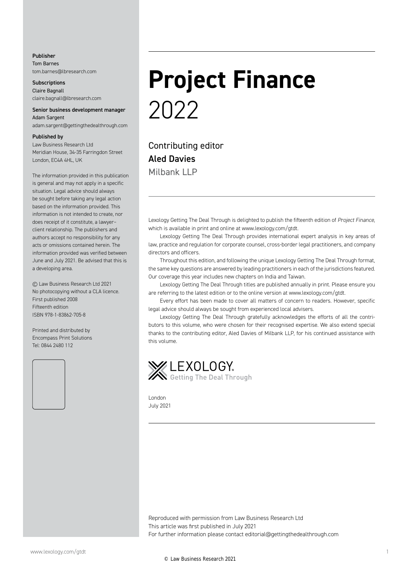#### Publisher Tom Barnes tom.barnes@lbresearch.com

**Subscriptions** Claire Bagnall claire.bagnall@lbresearch.com

#### Senior business development manager Adam Sargent

adam.sargent@gettingthedealthrough.com

#### Published by

Law Business Research Ltd Meridian House, 34-35 Farringdon Street London, EC4A 4HL, UK

The information provided in this publication is general and may not apply in a specific situation. Legal advice should always be sought before taking any legal action based on the information provided. This information is not intended to create, nor does receipt of it constitute, a lawyer– client relationship. The publishers and authors accept no responsibility for any acts or omissions contained herein. The information provided was verified between June and July 2021. Be advised that this is a developing area.

© Law Business Research Ltd 2021 No photocopying without a CLA licence. First published 2008 Fifteenth edition ISBN 978-1-83862-705-8

Printed and distributed by Encompass Print Solutions Tel: 0844 2480 112



# **Project Finance** 2022

Contributing editor Aled Davies Milbank LLP

Lexology Getting The Deal Through is delighted to publish the fifteenth edition of *Project Finance*, which is available in print and online at www.lexology.com/gtdt.

Lexology Getting The Deal Through provides international expert analysis in key areas of law, practice and regulation for corporate counsel, cross-border legal practitioners, and company directors and officers.

Throughout this edition, and following the unique Lexology Getting The Deal Through format, the same key questions are answered by leading practitioners in each of the jurisdictions featured. Our coverage this year includes new chapters on India and Taiwan.

Lexology Getting The Deal Through titles are published annually in print. Please ensure you are referring to the latest edition or to the online version at www.lexology.com/gtdt.

Every effort has been made to cover all matters of concern to readers. However, specific legal advice should always be sought from experienced local advisers.

Lexology Getting The Deal Through gratefully acknowledges the efforts of all the contributors to this volume, who were chosen for their recognised expertise. We also extend special thanks to the contributing editor, Aled Davies of Milbank LLP, for his continued assistance with this volume.



London July 2021

Reproduced with permission from Law Business Research Ltd This article was first published in July 2021 For further information please contact editorial@gettingthedealthrough.com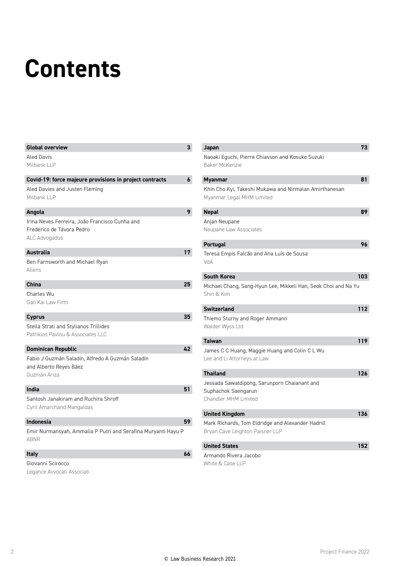# **Contents**

| <b>Global overview</b>                                        | 3  |
|---------------------------------------------------------------|----|
| <b>Aled Davis</b>                                             |    |
| Milbank LLP                                                   |    |
|                                                               |    |
| Covid-19: force majeure provisions in project contracts       | 6  |
| Aled Davies and Justen Fleming                                |    |
| Milbank LLP                                                   |    |
| Angola                                                        | 9  |
| Irina Neves Ferreira, João Francisco Cunha and                |    |
| Frederico de Távora Pedro                                     |    |
| ALC Advogados                                                 |    |
|                                                               |    |
| <b>Australia</b>                                              | 17 |
| Ben Farnsworth and Michael Ryan                               |    |
| Allens                                                        |    |
| China                                                         | 25 |
| Charles Wu                                                    |    |
| Gao Kai Law Firm                                              |    |
|                                                               |    |
| <b>Cyprus</b>                                                 | 35 |
| Stella Strati and Stylianos Trillides                         |    |
| Patrikios Paylou & Associates LLC                             |    |
| <b>Dominican Republic</b>                                     | 42 |
| Fabio J Guzmán Saladín, Alfredo A Guzmán Saladín              |    |
| and Alberto Reyes Báez                                        |    |
| Guzmán Ariza                                                  |    |
|                                                               |    |
| India                                                         | 51 |
| Santosh Janakiram and Ruchira Shroff                          |    |
| Cyril Amarchand Mangaldas                                     |    |
| <b>Indonesia</b>                                              | 59 |
| Emir Nurmansyah, Ammalia P Putri and Serafina Muryanti Hayu P |    |
| <b>ABNR</b>                                                   |    |
|                                                               |    |
| <b>Italy</b>                                                  | 66 |
| Giovanni Scirocco                                             |    |

Legance Avvocati Associati

| Japan                                                                                              | 73  |
|----------------------------------------------------------------------------------------------------|-----|
| Naoaki Eguchi, Pierre Chiasson and Kosuke Suzuki<br>Baker McKenzie                                 |     |
| <b>Myanmar</b>                                                                                     | 81  |
| Khin Cho Kyi, Takeshi Mukawa and Nirmalan Amirthanesan<br>Myanmar Legal MHM Limited                |     |
| <b>Nepal</b>                                                                                       | 89  |
| Anjan Neupane<br>Neupane Law Associates                                                            |     |
| <b>Portugal</b>                                                                                    | 96  |
| Teresa Empis Falcão and Ana Luís de Sousa<br>VdA                                                   |     |
| <b>South Korea</b>                                                                                 | 103 |
| Michael Chang, Sang-Hyun Lee, Mikkeli Han, Seok Choi and Na Yu<br>Shin & Kim                       |     |
| <b>Switzerland</b>                                                                                 | 112 |
| Thiemo Sturny and Roger Ammann<br>Walder Wyss Ltd                                                  |     |
| <b>Taiwan</b>                                                                                      | 119 |
| James C C Huang, Maggie Huang and Colin C L Wu<br>Lee and Li Attorneys at Law                      |     |
| <b>Thailand</b>                                                                                    | 126 |
| Jessada Sawatdipong, Sarunporn Chaianant and<br>Suphachok Saengarun<br><b>Chandler MHM Limited</b> |     |
| <b>United Kingdom</b>                                                                              | 136 |
| Mark Richards, Tom Eldridge and Alexander Hadrill<br>Bryan Cave Leighton Paisner LLP               |     |
| <b>United States</b>                                                                               | 152 |

Armando Rivera Jacobo White & Case LLP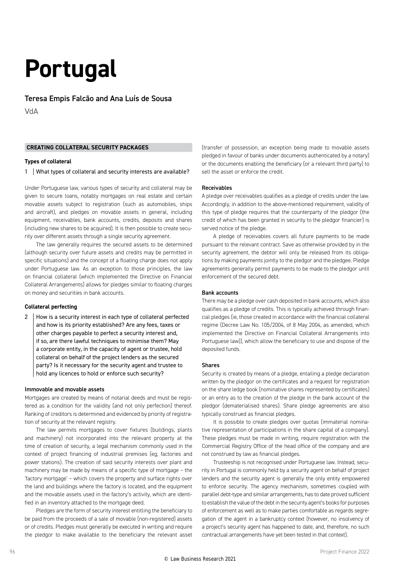### **Portugal**

Teresa Empis Falcão and Ana Luís de Sousa

VdA

#### **CREATING COLLATERAL SECURITY PACKAGES**

#### **Types of collateral**

1 | What types of collateral and security interests are available?

Under Portuguese law, various types of security and collateral may be given to secure loans, notably mortgages on real estate and certain movable assets subject to registration (such as automobiles, ships and aircraft), and pledges on movable assets in general, including equipment, receivables, bank accounts, credits, deposits and shares (including new shares to be acquired). It is then possible to create security over different assets through a single security agreement.

The law generally requires the secured assets to be determined (although security over future assets and credits may be permitted in specific situations) and the concept of a floating charge does not apply under Portuguese law. As an exception to those principles, the law on financial collateral (which implemented the Directive on Financial Collateral Arrangements) allows for pledges similar to floating charges on money and securities in bank accounts.

#### **Collateral perfecting**

2 How is a security interest in each type of collateral perfected and how is its priority established? Are any fees, taxes or other charges payable to perfect a security interest and, if so, are there lawful techniques to minimise them? May a corporate entity, in the capacity of agent or trustee, hold collateral on behalf of the project lenders as the secured party? Is it necessary for the security agent and trustee to hold any licences to hold or enforce such security?

#### Immovable and movable assets

Mortgages are created by means of notarial deeds and must be registered as a condition for the validity (and not only perfection) thereof. Ranking of creditors is determined and evidenced by priority of registration of security at the relevant registry.

The law permits mortgages to cover fixtures (buildings, plants and machinery) not incorporated into the relevant property at the time of creation of security, a legal mechanism commonly used in the context of project financing of industrial premises (eg, factories and power stations). The creation of said security interests over plant and machinery may be made by means of a specific type of mortgage – the 'factory mortgage' – which covers the property and surface rights over the land and buildings where the factory is located, and the equipment and the movable assets used in the factory's activity, which are identified in an inventory attached to the mortgage deed.

Pledges are the form of security interest entitling the beneficiary to be paid from the proceeds of a sale of movable (non-registered) assets or of credits. Pledges must generally be executed in writing and require the pledgor to make available to the beneficiary the relevant asset

(transfer of possession, an exception being made to movable assets pledged in favour of banks under documents authenticated by a notary) or the documents enabling the beneficiary (or a relevant third party) to sell the asset or enforce the credit.

#### Receivables

A pledge over receivables qualifies as a pledge of credits under the law. Accordingly, in addition to the above-mentioned requirement, validity of this type of pledge requires that the counterparty of the pledgor (the credit of which has been granted in security to the pledgor financier) is served notice of the pledge.

A pledge of receivables covers all future payments to be made pursuant to the relevant contract. Save as otherwise provided by in the security agreement, the debtor will only be released from its obligations by making payments jointly to the pledgor and the pledgee. Pledge agreements generally permit payments to be made to the pledgor until enforcement of the secured debt.

#### Bank accounts

There may be a pledge over cash deposited in bank accounts, which also qualifies as a pledge of credits. This is typically achieved through financial pledges (ie, those created in accordance with the financial collateral regime (Decree Law No. 105/2004, of 8 May 2004, as amended, which implemented the Directive on Financial Collateral Arrangements into Portuguese law)), which allow the beneficiary to use and dispose of the deposited funds.

#### Shares

Security is created by means of a pledge, entailing a pledge declaration written by the pledgor on the certificates and a request for registration on the share ledge book (nominative shares represented by certificates) or an entry as to the creation of the pledge in the bank account of the pledgor (dematerialised shares). Share pledge agreements are also typically construed as financial pledges.

It is possible to create pledges over quotas (immaterial nominative representation of participations in the share capital of a company). These pledges must be made in writing, require registration with the Commercial Registry Office of the head office of the company and are not construed by law as financial pledges.

Trusteeship is not recognised under Portuguese law. Instead, security in Portugal is commonly held by a security agent on behalf of project lenders and the security agent is generally the only entity empowered to enforce security. The agency mechanism, sometimes coupled with parallel debt-type and similar arrangements, has to date proved sufficient to establish the value of the debt in the security agent's books for purposes of enforcement as well as to make parties comfortable as regards segregation of the agent in a bankruptcy context (however, no insolvency of a project's security agent has happened to date, and, therefore, no such contractual arrangements have yet been tested in that context).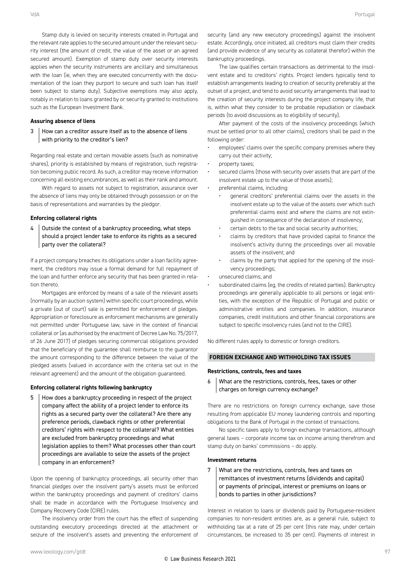Stamp duty is levied on security interests created in Portugal and the relevant rate applies to the secured amount under the relevant security interest (the amount of credit, the value of the asset or an agreed secured amount). Exemption of stamp duty over security interests applies when the security instruments are ancillary and simultaneous with the loan (ie, when they are executed concurrently with the documentation of the loan they purport to secure and such loan has itself been subject to stamp duty). Subjective exemptions may also apply, notably in relation to loans granted by or security granted to institutions such as the European Investment Bank.

#### **Assuring absence of liens**

3 How can a creditor assure itself as to the absence of liens with priority to the creditor's lien?

Regarding real estate and certain movable assets (such as nominative shares), priority is established by means of registration, such registration becoming public record. As such, a creditor may receive information concerning all existing encumbrances, as well as their rank and amount.

With regard to assets not subject to registration, assurance over the absence of liens may only be obtained through possession or on the basis of representations and warranties by the pledgor.

#### **Enforcing collateral rights**

 $4 \mid$  Outside the context of a bankruptcy proceeding, what steps should a project lender take to enforce its rights as a secured party over the collateral?

If a project company breaches its obligations under a loan facility agreement, the creditors may issue a formal demand for full repayment of the loan and further enforce any security that has been granted in relation thereto.

Mortgages are enforced by means of a sale of the relevant assets (normally by an auction system) within specific court proceedings, while a private (out of court) sale is permitted for enforcement of pledges. Appropriation or foreclosure as enforcement mechanisms are generally not permitted under Portuguese law, save in the context of financial collateral or (as authorised by the enactment of Decree Law No. 75/2017, of 26 June 2017) of pledges securing commercial obligations provided that the beneficiary of the guarantee shall reimburse to the guarantor the amount corresponding to the difference between the value of the pledged assets (valued in accordance with the criteria set out in the relevant agreement) and the amount of the obligation guaranteed.

#### **Enforcing collateral rights following bankruptcy**

5 | How does a bankruptcy proceeding in respect of the project company affect the ability of a project lender to enforce its rights as a secured party over the collateral? Are there any preference periods, clawback rights or other preferential creditors' rights with respect to the collateral? What entities are excluded from bankruptcy proceedings and what legislation applies to them? What processes other than court proceedings are available to seize the assets of the project company in an enforcement?

Upon the opening of bankruptcy proceedings, all security other than financial pledges over the insolvent party's assets must be enforced within the bankruptcy proceedings and payment of creditors' claims shall be made in accordance with the Portuguese Insolvency and Company Recovery Code (CIRE) rules.

The insolvency order from the court has the effect of suspending outstanding executory proceedings directed at the attachment or seizure of the insolvent's assets and preventing the enforcement of security (and any new executory proceedings) against the insolvent estate. Accordingly, once initiated, all creditors must claim their credits (and provide evidence of any security as collateral therefor) within the bankruptcy proceedings.

The law qualifies certain transactions as detrimental to the insolvent estate and to creditors' rights. Project lenders typically tend to establish arrangements leading to creation of security preferably at the outset of a project, and tend to avoid security arrangements that lead to the creation of security interests during the project company life, that is, within what they consider to be probable repudiation or clawback periods (to avoid discussions as to eligibility of security).

After payment of the costs of the insolvency proceedings (which must be settled prior to all other claims), creditors shall be paid in the following order:

- employees' claims over the specific company premises where they carry out their activity;
- property taxes;
- secured claims (those with security over assets that are part of the insolvent estate up to the value of those assets);
	- preferential claims, including:
		- general creditors' preferential claims over the assets in the insolvent estate up to the value of the assets over which such preferential claims exist and where the claims are not extinguished in consequence of the declaration of insolvency;
		- certain debts to the tax and social security authorities;
		- claims by creditors that have provided capital to finance the insolvent's activity during the proceedings over all movable assets of the insolvent; and
		- claims by the party that applied for the opening of the insolvency proceedings;
- unsecured claims; and
- subordinated claims (eg, the credits of related parties). Bankruptcy proceedings are generally applicable to all persons or legal entities, with the exception of the Republic of Portugal and public or administrative entities and companies. In addition, insurance companies, credit institutions and other financial corporations are subject to specific insolvency rules (and not to the CIRE).

No different rules apply to domestic or foreign creditors.

#### **FOREIGN EXCHANGE AND WITHHOLDING TAX ISSUES**

#### **Restrictions, controls, fees and taxes**

6 What are the restrictions, controls, fees, taxes or other charges on foreign currency exchange?

There are no restrictions on foreign currency exchange, save those resulting from applicable EU money laundering controls and reporting obligations to the Bank of Portugal in the context of transactions.

No specific taxes apply to foreign exchange transactions, although general taxes – corporate income tax on income arising therefrom and stamp duty on banks' commissions – do apply.

#### **Investment returns**

7 What are the restrictions, controls, fees and taxes on remittances of investment returns (dividends and capital) or payments of principal, interest or premiums on loans or bonds to parties in other jurisdictions?

Interest in relation to loans or dividends paid by Portuguese-resident companies to non-resident entities are, as a general rule, subject to withholding tax at a rate of 25 per cent (this rate may, under certain circumstances, be increased to 35 per cent). Payments of interest in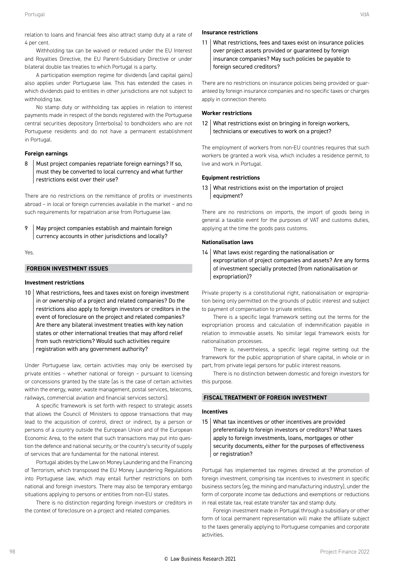relation to loans and financial fees also attract stamp duty at a rate of 4 per cent.

Withholding tax can be waived or reduced under the EU Interest and Royalties Directive, the EU Parent-Subsidiary Directive or under bilateral double tax treaties to which Portugal is a party.

A participation exemption regime for dividends (and capital gains) also applies under Portuguese law. This has extended the cases in which dividends paid to entities in other jurisdictions are not subject to withholding tax.

No stamp duty or withholding tax applies in relation to interest payments made in respect of the bonds registered with the Portuguese central securities depository (Interbolsa) to bondholders who are not Portuguese residents and do not have a permanent establishment in Portugal.

#### **Foreign earnings**

8 | Must project companies repatriate foreign earnings? If so, must they be converted to local currency and what further restrictions exist over their use?

There are no restrictions on the remittance of profits or investments abroad – in local or foreign currencies available in the market – and no such requirements for repatriation arise from Portuguese law.

9 | May project companies establish and maintain foreign currency accounts in other jurisdictions and locally?

Yes.

#### **FOREIGN INVESTMENT ISSUES**

#### **Investment restrictions**

10 What restrictions, fees and taxes exist on foreign investment in or ownership of a project and related companies? Do the restrictions also apply to foreign investors or creditors in the event of foreclosure on the project and related companies? Are there any bilateral investment treaties with key nation states or other international treaties that may afford relief from such restrictions? Would such activities require registration with any government authority?

Under Portuguese law, certain activities may only be exercised by private entities – whether national or foreign – pursuant to licensing or concessions granted by the state (as is the case of certain activities within the energy, water, waste management, postal services, telecoms, railways, commercial aviation and financial services sectors).

A specific framework is set forth with respect to strategic assets that allows the Council of Ministers to oppose transactions that may lead to the acquisition of control, direct or indirect, by a person or persons of a country outside the European Union and of the European Economic Area, to the extent that such transactions may put into question the defence and national security, or the country's security of supply of services that are fundamental for the national interest.

Portugal abides by the Law on Money Laundering and the Financing of Terrorism, which transposed the EU Money Laundering Regulations into Portuguese law, which may entail further restrictions on both national and foreign investors. There may also be temporary embargo situations applying to persons or entities from non-EU states.

There is no distinction regarding foreign investors or creditors in the context of foreclosure on a project and related companies.

#### **Insurance restrictions**

11 What restrictions, fees and taxes exist on insurance policies over project assets provided or guaranteed by foreign insurance companies? May such policies be payable to foreign secured creditors?

There are no restrictions on insurance policies being provided or guaranteed by foreign insurance companies and no specific taxes or charges apply in connection thereto.

#### **Worker restrictions**

12 What restrictions exist on bringing in foreign workers, technicians or executives to work on a project?

The employment of workers from non-EU countries requires that such workers be granted a work visa, which includes a residence permit, to live and work in Portugal.

#### **Equipment restrictions**

13 What restrictions exist on the importation of project equipment?

There are no restrictions on imports, the import of goods being in general a taxable event for the purposes of VAT and customs duties, applying at the time the goods pass customs.

#### **Nationalisation laws**

14 What laws exist regarding the nationalisation or expropriation of project companies and assets? Are any forms of investment specially protected (from nationalisation or expropriation)?

Private property is a constitutional right, nationalisation or expropriation being only permitted on the grounds of public interest and subject to payment of compensation to private entities.

There is a specific legal framework setting out the terms for the expropriation process and calculation of indemnification payable in relation to immovable assets. No similar legal framework exists for nationalisation processes.

There is, nevertheless, a specific legal regime setting out the framework for the public appropriation of share capital, in whole or in part, from private legal persons for public interest reasons.

There is no distinction between domestic and foreign investors for this nurnose.

#### **FISCAL TREATMENT OF FOREIGN INVESTMENT**

#### **Incentives**

15 What tax incentives or other incentives are provided preferentially to foreign investors or creditors? What taxes apply to foreign investments, loans, mortgages or other security documents, either for the purposes of effectiveness or registration?

Portugal has implemented tax regimes directed at the promotion of foreign investment, comprising tax incentives to investment in specific business sectors (eg, the mining and manufacturing industry), under the form of corporate income tax deductions and exemptions or reductions in real estate tax, real estate transfer tax and stamp duty.

Foreign investment made in Portugal through a subsidiary or other form of local permanent representation will make the affiliate subject to the taxes generally applying to Portuguese companies and corporate activities.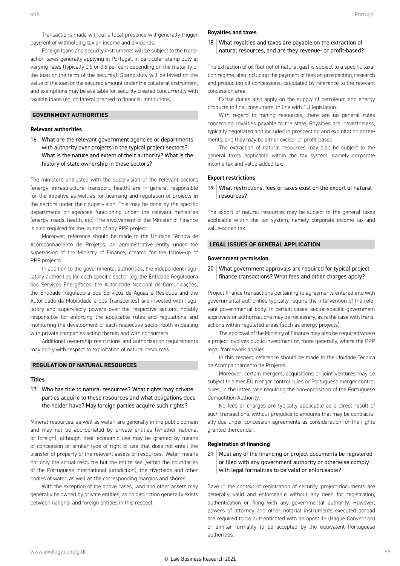Transactions made without a local presence will generally trigger payment of withholding tax on income and dividends.

Foreign loans and security instruments will be subject to the transaction taxes generally applying in Portugal, in particular stamp duty at varying rates (typically 0.5 or 0.6 per cent depending on the maturity of the loan or the term of the security). Stamp duty will be levied on the value of the loan or the secured amount under the collateral instrument, and exemptions may be available for security created concurrently with taxable loans (eg, collateral granted to financial institutions).

#### **GOVERNMENT AUTHORITIES**

#### **Relevant authorities**

16 What are the relevant government agencies or departments with authority over projects in the typical project sectors? What is the nature and extent of their authority? What is the history of state ownership in these sectors?

The ministers entrusted with the supervision of the relevant sectors (energy, infrastructure, transport, health) are in general responsible for the initiative as well as for licensing and regulation of projects in the sectors under their supervision. This may be done by the specific departments or agencies functioning under the relevant ministries (energy, roads, health, etc). The involvement of the Minister of Finance is also required for the launch of any PPP project.

Moreover, reference should be made to the Unidade Técnica de Acompanhamento de Projetos, an administrative entity under the supervision of the Ministry of Finance, created for the follow-up of PPP projects.

In addition to the governmental authorities, the independent regulatory authorities for each specific sector (eg, the Entidade Reguladora dos Serviços Energéticos, the Autoridade Nacional de Comunicações, the Entidade Reguladora dos Serviços de Águas e Resíduos and the Autoridade da Mobilidade e dos Transportes) are invested with regulatory and supervisory powers over the respective sectors, notably responsible for enforcing the applicable rules and regulations and monitoring the development of each respective sector, both in dealing with private companies acting therein and with consumers.

Additional ownership restrictions and authorisation requirements may apply with respect to exploitation of natural resources.

#### **REGULATION OF NATURAL RESOURCES**

#### **Titles**

#### 17 | Who has title to natural resources? What rights may private parties acquire to these resources and what obligations does the holder have? May foreign parties acquire such rights?

Mineral resources, as well as water, are generally in the public domain and may not be appropriated by private entities (whether national or foreign), although their economic use may be granted by means of concession or similar type of right of use that does not entail the transfer of property of the relevant assets or resources. 'Water' means not only the actual resource but the entire sea (within the boundaries of the Portuguese international jurisdiction), the riverbeds and other bodies of water, as well as the corresponding margins and shores.

With the exception of the above cases, land and other assets may generally be owned by private entities, as no distinction generally exists between national and foreign entities in this respect.

#### **Royalties and taxes**

#### 18 What royalties and taxes are payable on the extraction of natural resources, and are they revenue- or profit-based?

The extraction of oil (but not of natural gas) is subject to a specific taxation regime, also including the payment of fees on prospecting, research and production oil concessions, calculated by reference to the relevant concession area.

Excise duties also apply on the supply of petroleum and energy products to final consumers, in line with EU legislation.

With regard to mining resources, there are no general rules concerning royalties payable to the state. Royalties are, nevertheless, typically negotiated and included in prospecting and exploitation agreements, and they may be either excise- or profit-based.

The extraction of natural resources may also be subject to the general taxes applicable within the tax system, namely corporate income tax and value-added tax.

#### **Export restrictions**

19 What restrictions, fees or taxes exist on the export of natural resources?

The export of natural resources may be subject to the general taxes applicable within the tax system, namely corporate income tax and value-added tax.

#### **LEGAL ISSUES OF GENERAL APPLICATION**

#### **Government permission**

#### 20 What government approvals are required for typical project finance transactions? What fees and other charges apply?

Project finance transactions pertaining to agreements entered into with governmental authorities typically require the intervention of the relevant governmental body. In certain cases, sector-specific government approvals or authorisations may be necessary, as is the case with transactions within regulated areas (such as energy projects).

The approval of the Ministry of Finance may also be required where a project involves public investment or, more generally, where the PPP legal framework applies.

In this respect, reference should be made to the Unidade Técnica de Acompanhamento de Projetos.

Moreover, certain mergers, acquisitions or joint ventures may be subject to either EU merger control rules or Portuguese merger control rules, in the latter case requiring the non-opposition of the Portuguese Competition Authority.

No fees or charges are typically applicable as a direct result of such transactions, without prejudice to amounts that may be contractually due under concession agreements as consideration for the rights granted thereunder.

#### **Registration of financing**

21 | Must any of the financing or project documents be registered or filed with any government authority or otherwise comply with legal formalities to be valid or enforceable?

Save in the context of registration of security, project documents are generally valid and enforceable without any need for registration, authentication or filing with any governmental authority. However, powers of attorney and other notarial instruments executed abroad are required to be authenticated with an apostille (Hague Convention) or similar formality to be accepted by the equivalent Portuguese authorities.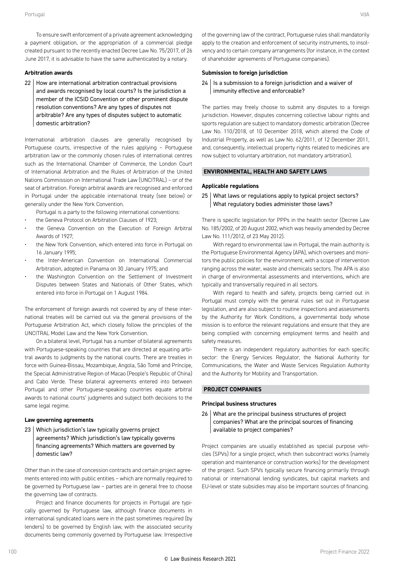To ensure swift enforcement of a private agreement acknowledging a payment obligation, or the appropriation of a commercial pledge created pursuant to the recently enacted Decree Law No. 75/2017, of 26 June 2017, it is advisable to have the same authenticated by a notary.

#### **Arbitration awards**

22 | How are international arbitration contractual provisions and awards recognised by local courts? Is the jurisdiction a member of the ICSID Convention or other prominent dispute resolution conventions? Are any types of disputes not arbitrable? Are any types of disputes subject to automatic domestic arbitration?

International arbitration clauses are generally recognised by Portuguese courts, irrespective of the rules applying – Portuguese arbitration law or the commonly chosen rules of international centres such as the International Chamber of Commerce, the London Court of International Arbitration and the Rules of Arbitration of the United Nations Commission on International Trade Law (UNCITRAL) – or of the seat of arbitration. Foreign arbitral awards are recognised and enforced in Portugal under the applicable international treaty (see below) or generally under the New York Convention.

- Portugal is a party to the following international conventions:
- the Geneva Protocol on Arbitration Clauses of 1923;
- the Geneva Convention on the Execution of Foreign Arbitral Awards of 1927;
- the New York Convention, which entered into force in Portugal on 16 January 1995;
- the Inter-American Convention on International Commercial Arbitration, adopted in Panama on 30 January 1975; and
- the Washington Convention on the Settlement of Investment Disputes between States and Nationals of Other States, which entered into force in Portugal on 1 August 1984.

The enforcement of foreign awards not covered by any of these international treaties will be carried out via the general provisions of the Portuguese Arbitration Act, which closely follow the principles of the UNCITRAL Model Law and the New York Convention.

On a bilateral level, Portugal has a number of bilateral agreements with Portuguese-speaking countries that are directed at equating arbitral awards to judgments by the national courts. There are treaties in force with Guinea-Bissau, Mozambique, Angola, São Tomé and Príncipe, the Special Administrative Region of Macao (People's Republic of China) and Cabo Verde. These bilateral agreements entered into between Portugal and other Portuguese-speaking countries equate arbitral awards to national courts' judgments and subject both decisions to the same legal regime.

#### **Law governing agreements**

23 Which jurisdiction's law typically governs project agreements? Which jurisdiction's law typically governs financing agreements? Which matters are governed by domestic law?

Other than in the case of concession contracts and certain project agreements entered into with public entities – which are normally required to be governed by Portuguese law – parties are in general free to choose the governing law of contracts.

Project and finance documents for projects in Portugal are typically governed by Portuguese law, although finance documents in international syndicated loans were in the past sometimes required (by lenders) to be governed by English law, with the associated security documents being commonly governed by Portuguese law. Irrespective of the governing law of the contract, Portuguese rules shall mandatorily apply to the creation and enforcement of security instruments, to insolvency and to certain company arrangements (for instance, in the context of shareholder agreements of Portuguese companies).

#### **Submission to foreign jurisdiction**

 $24$  Is a submission to a foreign jurisdiction and a waiver of immunity effective and enforceable?

The parties may freely choose to submit any disputes to a foreign jurisdiction. However, disputes concerning collective labour rights and sports regulation are subject to mandatory domestic arbitration (Decree Law No. 110/2018, of 10 December 2018, which altered the Code of Industrial Property, as well as Law No. 62/2011, of 12 December 2011, and, consequently, intellectual property rights related to medicines are now subject to voluntary arbitration, not mandatory arbitration).

#### **ENVIRONMENTAL, HEALTH AND SAFETY LAWS**

#### **Applicable regulations**

#### 25 What laws or regulations apply to typical project sectors? What regulatory bodies administer those laws?

There is specific legislation for PPPs in the health sector (Decree Law No. 185/2002, of 20 August 2002, which was heavily amended by Decree Law No. 111/2012, of 23 May 2012).

With regard to environmental law in Portugal, the main authority is the Portuguese Environmental Agency (APA), which oversees and monitors the public policies for the environment, with a scope of intervention ranging across the water, waste and chemicals sectors. The APA is also in charge of environmental assessments and interventions, which are typically and transversally required in all sectors.

With regard to health and safety, projects being carried out in Portugal must comply with the general rules set out in Portuguese legislation, and are also subject to routine inspections and assessments by the Authority for Work Conditions, a governmental body whose mission is to enforce the relevant regulations and ensure that they are being complied with concerning employment terms and health and safety measures.

There is an independent regulatory authorities for each specific sector: the Energy Services Regulator, the National Authority for Communications, the Water and Waste Services Regulation Authority and the Authority for Mobility and Transportation.

#### **PROJECT COMPANIES**

#### **Principal business structures**

26 What are the principal business structures of project companies? What are the principal sources of financing available to project companies?

Project companies are usually established as special purpose vehicles (SPVs) for a single project, which then subcontract works (namely operation and maintenance or construction works) for the development of the project. Such SPVs typically secure financing primarily through national or international lending syndicates, but capital markets and EU-level or state subsidies may also be important sources of financing.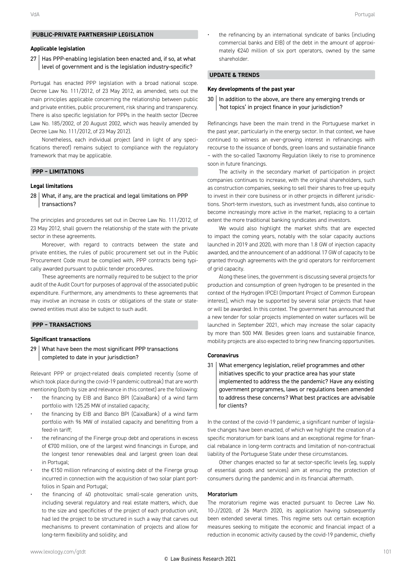#### **PUBLIC-PRIVATE PARTNERSHIP LEGISLATION**

#### **Applicable legislation**

#### 27 | Has PPP-enabling legislation been enacted and, if so, at what level of government and is the legislation industry-specific?

Portugal has enacted PPP legislation with a broad national scope. Decree Law No. 111/2012, of 23 May 2012, as amended, sets out the main principles applicable concerning the relationship between public and private entities, public procurement, risk sharing and transparency. There is also specific legislation for PPPs in the health sector (Decree Law No. 185/2002, of 20 August 2002, which was heavily amended by Decree Law No. 111/2012, of 23 May 2012).

Nonetheless, each individual project (and in light of any specifications thereof) remains subject to compliance with the regulatory framework that may be applicable.

#### **PPP – LIMITATIONS**

#### **Legal limitations**

28 What, if any, are the practical and legal limitations on PPP transactions?

The principles and procedures set out in Decree Law No. 111/2012, of 23 May 2012, shall govern the relationship of the state with the private sector in these agreements.

Moreover, with regard to contracts between the state and private entities, the rules of public procurement set out in the Public Procurement Code must be complied with, PPP contracts being typically awarded pursuant to public tender procedures.

These agreements are normally required to be subject to the prior audit of the Audit Court for purposes of approval of the associated public expenditure. Furthermore, any amendments to these agreements that may involve an increase in costs or obligations of the state or stateowned entities must also be subject to such audit.

#### **PPP – TRANSACTIONS**

#### **Significant transactions**

29 | What have been the most significant PPP transactions completed to date in your jurisdiction?

Relevant PPP or project-related deals completed recently (some of which took place during the covid-19 pandemic outbreak) that are worth mentioning (both by size and relevance in this context) are the following:

- the financing by EIB and Banco BPI (CaixaBank) of a wind farm portfolio with 125.25 MW of installed capacity;
- the financing by EIB and Banco BPI (CaixaBank) of a wind farm portfolio with 96 MW of installed capacity and benefitting from a feed-in tariff;
- the refinancing of the Finerge group debt and operations in excess of €700 million, one of the largest wind financings in Europe, and the longest tenor renewables deal and largest green loan deal in Portugal;
- the  $£150$  million refinancing of existing debt of the Finerge group incurred in connection with the acquisition of two solar plant portfolios in Spain and Portugal;
- the financing of 40 photovoltaic small-scale generation units, including several regulatory and real estate matters, which, due to the size and specificities of the project of each production unit, had led the project to be structured in such a way that carves out mechanisms to prevent contamination of projects and allow for long-term flexibility and solidity; and

• the refinancing by an international syndicate of banks (including commercial banks and EIB) of the debt in the amount of approximately €240 million of six port operators, owned by the same shareholder.

#### **UPDATE & TRENDS**

#### **Key developments of the past year**

 $30$  | In addition to the above, are there any emerging trends or 'hot topics' in project finance in your jurisdiction?

Refinancings have been the main trend in the Portuguese market in the past year, particularly in the energy sector. In that context, we have continued to witness an ever-growing interest in refinancings with recourse to the issuance of bonds, green loans and sustainable finance – with the so-called Taxonomy Regulation likely to rise to prominence soon in future financings.

The activity in the secondary market of participation in project companies continues to increase, with the original shareholders, such as construction companies, seeking to sell their shares to free up equity to invest in their core business or in other projects in different jurisdictions. Short-term investors, such as investment funds, also continue to become increasingly more active in the market, replacing to a certain extent the more traditional banking syndicates and investors.

We would also highlight the market shifts that are expected to impact the coming years, notably with the solar capacity auctions launched in 2019 and 2020, with more than 1.8 GW of injection capacity awarded, and the announcement of an additional 17 GW of capacity to be granted through agreements with the grid operators for reinforcement of grid capacity.

Along these lines, the government is discussing several projects for production and consumption of green hydrogen to be presented in the context of the Hydrogen IPCEI (Important Project of Common European interest), which may be supported by several solar projects that have or will be awarded. In this context. The government has announced that a new tender for solar projects implemented on water surfaces will be launched in September 2021, which may increase the solar capacity by more than 500 MW. Besides green loans and sustainable finance, mobility projects are also expected to bring new financing opportunities.

#### **Coronavirus**

31 What emergency legislation, relief programmes and other initiatives specific to your practice area has your state implemented to address the the pandemic? Have any existing government programmes, laws or regulations been amended to address these concerns? What best practices are advisable for clients?

In the context of the covid-19 pandemic, a significant number of legislative changes have been enacted, of which we highlight the creation of a specific moratorium for bank loans and an exceptional regime for financial rebalance in long-term contracts and limitation of non-contractual liability of the Portuguese State under these circumstances.

Other changes enacted so far at sector-specific levels (eg, supply of essential goods and services) aim at ensuring the protection of consumers during the pandemic and in its financial aftermath.

#### Moratorium

The moratorium regime was enacted pursuant to Decree Law No. 10-J/2020, of 26 March 2020, its application having subsequently been extended several times. This regime sets out certain exception measures seeking to mitigate the economic and financial impact of a reduction in economic activity caused by the covid-19 pandemic, chiefly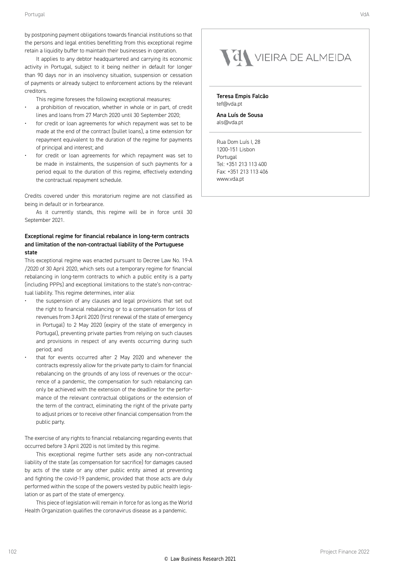by postponing payment obligations towards financial institutions so that the persons and legal entities benefitting from this exceptional regime retain a liquidity buffer to maintain their businesses in operation.

It applies to any debtor headquartered and carrying its economic activity in Portugal, subject to it being neither in default for longer than 90 days nor in an insolvency situation, suspension or cessation of payments or already subject to enforcement actions by the relevant creditors.

This regime foresees the following exceptional measures:

- a prohibition of revocation, whether in whole or in part, of credit lines and loans from 27 March 2020 until 30 September 2020;
- for credit or loan agreements for which repayment was set to be made at the end of the contract (bullet loans), a time extension for repayment equivalent to the duration of the regime for payments of principal and interest; and
- for credit or loan agreements for which repayment was set to be made in instalments, the suspension of such payments for a period equal to the duration of this regime, effectively extending the contractual repayment schedule.

Credits covered under this moratorium regime are not classified as being in default or in forbearance.

As it currently stands, this regime will be in force until 30 September 2021.

#### Exceptional regime for financial rebalance in long-term contracts and limitation of the non-contractual liability of the Portuguese state

This exceptional regime was enacted pursuant to Decree Law No. 19-A /2020 of 30 April 2020, which sets out a temporary regime for financial rebalancing in long-term contracts to which a public entity is a party (including PPPs) and exceptional limitations to the state's non-contractual liability. This regime determines, inter alia:

- the suspension of any clauses and legal provisions that set out the right to financial rebalancing or to a compensation for loss of revenues from 3 April 2020 (first renewal of the state of emergency in Portugal) to 2 May 2020 (expiry of the state of emergency in Portugal), preventing private parties from relying on such clauses and provisions in respect of any events occurring during such period; and
- that for events occurred after 2 May 2020 and whenever the contracts expressly allow for the private party to claim for financial rebalancing on the grounds of any loss of revenues or the occurrence of a pandemic, the compensation for such rebalancing can only be achieved with the extension of the deadline for the performance of the relevant contractual obligations or the extension of the term of the contract, eliminating the right of the private party to adjust prices or to receive other financial compensation from the public party.

The exercise of any rights to financial rebalancing regarding events that occurred before 3 April 2020 is not limited by this regime.

This exceptional regime further sets aside any non-contractual liability of the state (as compensation for sacrifice) for damages caused by acts of the state or any other public entity aimed at preventing and fighting the covid-19 pandemic, provided that those acts are duly performed within the scope of the powers vested by public health legislation or as part of the state of emergency.

This piece of legislation will remain in force for as long as the World Health Organization qualifies the coronavirus disease as a pandemic.

### VON VIEIRA DE ALMEIDA

Teresa Empis Falcão tef@vda.pt

Ana Luís de Sousa als@vda.pt

Rua Dom Luís I, 28 1200-151 Lisbon Portugal Tel: +351 213 113 400 Fax: +351 213 113 406 www.vda.pt